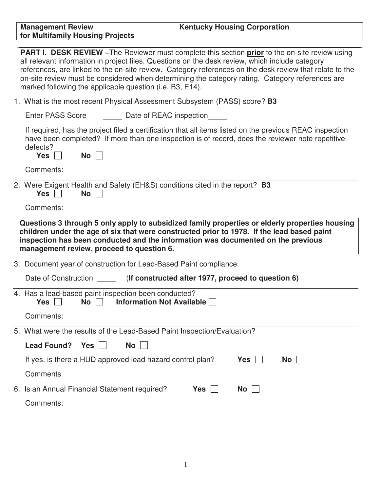| <b>Management Review</b><br><b>Kentucky Housing Corporation</b><br>for Multifamily Housing Projects                                                                                                                                                                                                                                                                                                                                                                          |
|------------------------------------------------------------------------------------------------------------------------------------------------------------------------------------------------------------------------------------------------------------------------------------------------------------------------------------------------------------------------------------------------------------------------------------------------------------------------------|
|                                                                                                                                                                                                                                                                                                                                                                                                                                                                              |
| PART I. DESK REVIEW - The Reviewer must complete this section prior to the on-site review using<br>all relevant information in project files. Questions on the desk review, which include category<br>references, are linked to the on-site review. Category references on the desk review that relate to the<br>on-site review must be considered when determining the category rating. Category references are<br>marked following the applicable question (i.e. B3, E14). |
| 1. What is the most recent Physical Assessment Subsystem (PASS) score? <b>B3</b>                                                                                                                                                                                                                                                                                                                                                                                             |
| <b>Enter PASS Score</b><br>Date of REAC inspection                                                                                                                                                                                                                                                                                                                                                                                                                           |
| If required, has the project filed a certification that all items listed on the previous REAC inspection<br>have been completed? If more than one inspection is of record, does the reviewer note repetitive<br>defects?<br>$Yes \Box$<br>No                                                                                                                                                                                                                                 |
| Comments:                                                                                                                                                                                                                                                                                                                                                                                                                                                                    |
| 2. Were Exigent Health and Safety (EH&S) conditions cited in the report? <b>B3</b><br>No <sub>1</sub><br>$Yes \mid \mid$                                                                                                                                                                                                                                                                                                                                                     |
| Comments:                                                                                                                                                                                                                                                                                                                                                                                                                                                                    |
| Questions 3 through 5 only apply to subsidized family properties or elderly properties housing<br>children under the age of six that were constructed prior to 1978. If the lead based paint<br>inspection has been conducted and the information was documented on the previous<br>management review, proceed to question 6.                                                                                                                                                |
| 3. Document year of construction for Lead-Based Paint compliance.                                                                                                                                                                                                                                                                                                                                                                                                            |
| Date of Construction _______ (If constructed after 1977, proceed to question 6)                                                                                                                                                                                                                                                                                                                                                                                              |
| 4. Has a lead-based paint inspection been conducted?<br>Yes<br><b>No</b><br>Information Not Available                                                                                                                                                                                                                                                                                                                                                                        |
| Comments:                                                                                                                                                                                                                                                                                                                                                                                                                                                                    |
| 5. What were the results of the Lead-Based Paint Inspection/Evaluation?                                                                                                                                                                                                                                                                                                                                                                                                      |
| <b>Lead Found?</b><br><b>Yes</b><br><b>No</b>                                                                                                                                                                                                                                                                                                                                                                                                                                |
| If yes, is there a HUD approved lead hazard control plan?<br>Yes<br>No                                                                                                                                                                                                                                                                                                                                                                                                       |
| Comments                                                                                                                                                                                                                                                                                                                                                                                                                                                                     |
| 6. Is an Annual Financial Statement required?<br>Yes<br>No<br>$\mathbf{L}$                                                                                                                                                                                                                                                                                                                                                                                                   |
| Comments:                                                                                                                                                                                                                                                                                                                                                                                                                                                                    |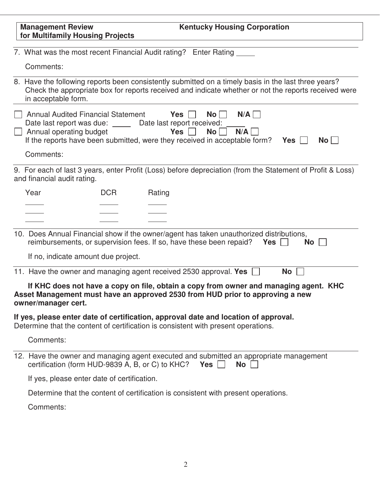| <b>Kentucky Housing Corporation</b><br><b>Management Review</b><br>for Multifamily Housing Projects                                                                                                                                                                                      |              |
|------------------------------------------------------------------------------------------------------------------------------------------------------------------------------------------------------------------------------------------------------------------------------------------|--------------|
| 7. What was the most recent Financial Audit rating? Enter Rating                                                                                                                                                                                                                         |              |
| Comments:                                                                                                                                                                                                                                                                                |              |
| 8. Have the following reports been consistently submitted on a timely basis in the last three years?<br>Check the appropriate box for reports received and indicate whether or not the reports received were<br>in acceptable form.                                                      |              |
| <b>Annual Audited Financial Statement</b><br>N/A<br>Yes $  $<br>$No$ $ $<br>Date last report was due: ______ Date last report received:<br>N/A<br>Annual operating budget<br>$No$    <br>Yes  <br>If the reports have been submitted, were they received in acceptable form? Yes $\vert$ | $No$ $\vert$ |
| Comments:                                                                                                                                                                                                                                                                                |              |
| 9. For each of last 3 years, enter Profit (Loss) before depreciation (from the Statement of Profit & Loss)<br>and financial audit rating.                                                                                                                                                |              |
| Year<br><b>DCR</b><br>Rating                                                                                                                                                                                                                                                             |              |
|                                                                                                                                                                                                                                                                                          |              |
|                                                                                                                                                                                                                                                                                          |              |
| 10. Does Annual Financial show if the owner/agent has taken unauthorized distributions,<br>reimbursements, or supervision fees. If so, have these been repaid?                                                                                                                           | Yes<br>No l  |
| If no, indicate amount due project.                                                                                                                                                                                                                                                      |              |
| 11. Have the owner and managing agent received 2530 approval. Yes $\Box$                                                                                                                                                                                                                 | <b>No</b>    |
| If KHC does not have a copy on file, obtain a copy from owner and managing agent. KHC<br>Asset Management must have an approved 2530 from HUD prior to approving a new<br>owner/manager cert.                                                                                            |              |
| If yes, please enter date of certification, approval date and location of approval.<br>Determine that the content of certification is consistent with present operations.                                                                                                                |              |
| Comments:                                                                                                                                                                                                                                                                                |              |
| 12. Have the owner and managing agent executed and submitted an appropriate management<br>certification (form HUD-9839 A, B, or C) to KHC?<br>Yes  <br>No                                                                                                                                |              |
| If yes, please enter date of certification.                                                                                                                                                                                                                                              |              |
| Determine that the content of certification is consistent with present operations.                                                                                                                                                                                                       |              |
| Comments:                                                                                                                                                                                                                                                                                |              |
|                                                                                                                                                                                                                                                                                          |              |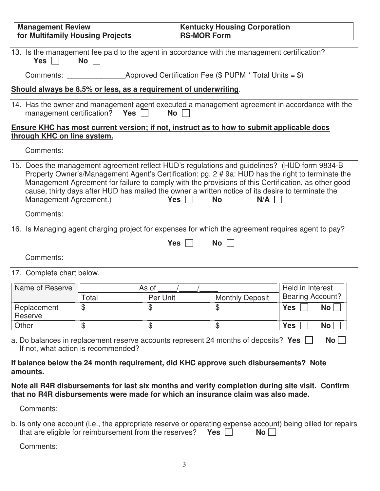| <b>Management Review</b><br>for Multifamily Housing Projects                                                |                                                                                                                                                                                                                                                                                                                                                                                                               | <b>RS-MOR Form</b> | <b>Kentucky Housing Corporation</b> |                                             |           |
|-------------------------------------------------------------------------------------------------------------|---------------------------------------------------------------------------------------------------------------------------------------------------------------------------------------------------------------------------------------------------------------------------------------------------------------------------------------------------------------------------------------------------------------|--------------------|-------------------------------------|---------------------------------------------|-----------|
| Yes $\Box$                                                                                                  | 13. Is the management fee paid to the agent in accordance with the management certification?<br>No                                                                                                                                                                                                                                                                                                            |                    |                                     |                                             |           |
|                                                                                                             |                                                                                                                                                                                                                                                                                                                                                                                                               |                    |                                     |                                             |           |
|                                                                                                             | Should always be 8.5% or less, as a requirement of underwriting.                                                                                                                                                                                                                                                                                                                                              |                    |                                     |                                             |           |
|                                                                                                             | 14. Has the owner and management agent executed a management agreement in accordance with the<br>management certification? Yes $\vert \ \vert$                                                                                                                                                                                                                                                                | No                 |                                     |                                             |           |
| through KHC on line system.                                                                                 | Ensure KHC has most current version; if not, instruct as to how to submit applicable docs                                                                                                                                                                                                                                                                                                                     |                    |                                     |                                             |           |
| Comments:                                                                                                   |                                                                                                                                                                                                                                                                                                                                                                                                               |                    |                                     |                                             |           |
| Management Agreement.)                                                                                      | 15. Does the management agreement reflect HUD's regulations and guidelines? (HUD form 9834-B<br>Property Owner's/Management Agent's Certification: pg. 2 # 9a: HUD has the right to terminate the<br>Management Agreement for failure to comply with the provisions of this Certification, as other good<br>cause, thirty days after HUD has mailed the owner a written notice of its desire to terminate the | Yes                | <b>No</b><br>N/A                    |                                             |           |
| Comments:                                                                                                   |                                                                                                                                                                                                                                                                                                                                                                                                               |                    |                                     |                                             |           |
| Comments:                                                                                                   | 16. Is Managing agent charging project for expenses for which the agreement requires agent to pay?                                                                                                                                                                                                                                                                                                            | Yes                | No                                  |                                             |           |
| 17. Complete chart below.                                                                                   |                                                                                                                                                                                                                                                                                                                                                                                                               |                    |                                     |                                             |           |
| Name of Reserve                                                                                             | Total                                                                                                                                                                                                                                                                                                                                                                                                         | As of<br>Per Unit  | <b>Monthly Deposit</b>              | Held in Interest<br><b>Bearing Account?</b> |           |
| Replacement<br>Reserve                                                                                      | $\mathfrak{P}$                                                                                                                                                                                                                                                                                                                                                                                                | \$                 | $\mathfrak{F}$                      | <b>Yes</b>                                  | <b>No</b> |
| Other                                                                                                       | \$                                                                                                                                                                                                                                                                                                                                                                                                            | \$                 | $\mathcal{L}$                       | <b>Yes</b>                                  | No        |
| amounts.                                                                                                    | a. Do balances in replacement reserve accounts represent 24 months of deposits? Yes<br>If not, what action is recommended?<br>If balance below the 24 month requirement, did KHC approve such disbursements? Note                                                                                                                                                                                             |                    |                                     |                                             | No        |
|                                                                                                             | Note all R4R disbursements for last six months and verify completion during site visit. Confirm<br>that no R4R disbursements were made for which an insurance claim was also made.                                                                                                                                                                                                                            |                    |                                     |                                             |           |
| Comments:                                                                                                   |                                                                                                                                                                                                                                                                                                                                                                                                               |                    |                                     |                                             |           |
| b ls only one account (i.e., the appropriate resense or operating expense account) being billed for repairs |                                                                                                                                                                                                                                                                                                                                                                                                               |                    |                                     |                                             |           |

| b. Is only one account (i.e., the appropriate reserve or operating expense account) being billed for repairs |                                                            |                      |  |
|--------------------------------------------------------------------------------------------------------------|------------------------------------------------------------|----------------------|--|
|                                                                                                              | that are eligible for reimbursement from the reserves? Yes | $\mathsf{No} \vdash$ |  |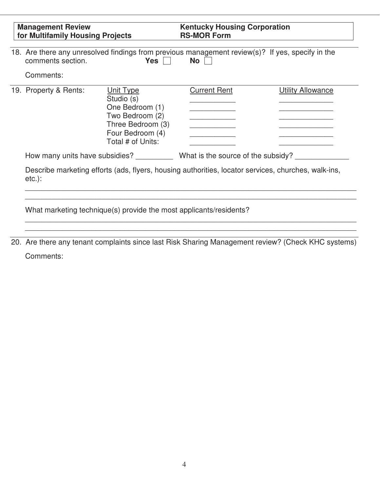| <b>Management Review</b><br>for Multifamily Housing Projects      |                                                                                                                             | <b>Kentucky Housing Corporation</b><br><b>RS-MOR Form</b>                                                     |                                                                                                     |  |
|-------------------------------------------------------------------|-----------------------------------------------------------------------------------------------------------------------------|---------------------------------------------------------------------------------------------------------------|-----------------------------------------------------------------------------------------------------|--|
| comments section.                                                 | Yes $\Box$                                                                                                                  | 18. Are there any unresolved findings from previous management review(s)? If yes, specify in the<br>$No \Box$ |                                                                                                     |  |
| Comments:                                                         |                                                                                                                             |                                                                                                               |                                                                                                     |  |
| 19. Property & Rents:                                             | Unit Type<br>Studio (s)<br>One Bedroom (1)<br>Two Bedroom (2)<br>Three Bedroom (3)<br>Four Bedroom (4)<br>Total # of Units: | <b>Current Rent</b>                                                                                           | <b>Utility Allowance</b>                                                                            |  |
| How many units have subsidies? What is the source of the subsidy? |                                                                                                                             |                                                                                                               |                                                                                                     |  |
| $etc.$ :                                                          |                                                                                                                             |                                                                                                               | Describe marketing efforts (ads, flyers, housing authorities, locator services, churches, walk-ins, |  |

20. Are there any tenant complaints since last Risk Sharing Management review? (Check KHC systems) Comments:

\_\_\_\_\_\_\_\_\_\_\_\_\_\_\_\_\_\_\_\_\_\_\_\_\_\_\_\_\_\_\_\_\_\_\_\_\_\_\_\_\_\_\_\_\_\_\_\_\_\_\_\_\_\_\_\_\_\_\_\_\_\_\_\_\_\_\_\_\_\_\_\_\_\_\_\_\_\_\_\_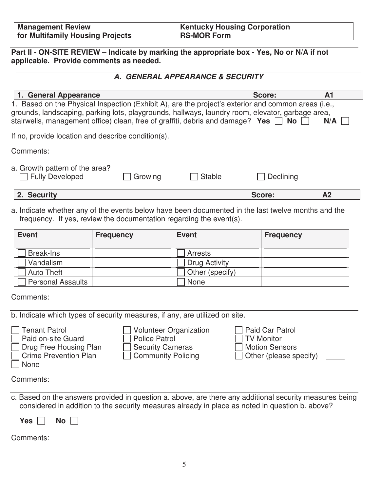**Management Review for Multifamily Housing Projects**  **Kentucky Housing Corporation RS-MOR Form** 

**Part II - ON-SITE REVIEW** – **Indicate by marking the appropriate box - Yes, No or N/A if not applicable. Provide comments as needed.**

| A. GENERAL APPEARANCE & SECURITY                                                                                                                                                                                                                                                                              |         |               |           |                |
|---------------------------------------------------------------------------------------------------------------------------------------------------------------------------------------------------------------------------------------------------------------------------------------------------------------|---------|---------------|-----------|----------------|
| 1. General Appearance                                                                                                                                                                                                                                                                                         |         |               | Score:    | A <sub>1</sub> |
| 1. Based on the Physical Inspection (Exhibit A), are the project's exterior and common areas (i.e.,<br>grounds, landscaping, parking lots, playgrounds, hallways, laundry room, elevator, garbage area,<br>stairwells, management office) clean, free of graffiti, debris and damage? Yes $\Box$<br>No<br>N/A |         |               |           |                |
| If no, provide location and describe condition(s).                                                                                                                                                                                                                                                            |         |               |           |                |
| Comments:                                                                                                                                                                                                                                                                                                     |         |               |           |                |
| a. Growth pattern of the area?<br><b>Fully Developed</b>                                                                                                                                                                                                                                                      | Growing | <b>Stable</b> | Declining |                |
| 2. Security                                                                                                                                                                                                                                                                                                   |         |               | Score:    | A <sub>2</sub> |

a. Indicate whether any of the events below have been documented in the last twelve months and the frequency. If yes, review the documentation regarding the event(s).

| <b>Event</b>             | <b>Frequency</b> | <b>Event</b>         | <b>Frequency</b> |
|--------------------------|------------------|----------------------|------------------|
| <b>Break-Ins</b>         |                  | Arrests              |                  |
| Vandalism                |                  | <b>Drug Activity</b> |                  |
| <b>Auto Theft</b>        |                  | Other (specify)      |                  |
| <b>Personal Assaults</b> |                  | <b>None</b>          |                  |

Comments:

| b. Indicate which types of security measures, if any, are utilized on site.<br><b>Tenant Patrol</b><br>Paid on-site Guard<br>Drug Free Housing Plan<br><b>Crime Prevention Plan</b><br>None | <b>Volunteer Organization</b><br><b>Police Patrol</b><br><b>Security Cameras</b><br><b>Community Policing</b> | Paid Car Patrol<br><b>TV Monitor</b><br><b>Motion Sensors</b><br>$\Box$ Other (please specify) |  |
|---------------------------------------------------------------------------------------------------------------------------------------------------------------------------------------------|---------------------------------------------------------------------------------------------------------------|------------------------------------------------------------------------------------------------|--|
| Comments:                                                                                                                                                                                   |                                                                                                               |                                                                                                |  |

c. Based on the answers provided in question a. above, are there any additional security measures being considered in addition to the security measures already in place as noted in question b. above?

Yes **No**  $\Box$ 

| Comments: |  |
|-----------|--|
|-----------|--|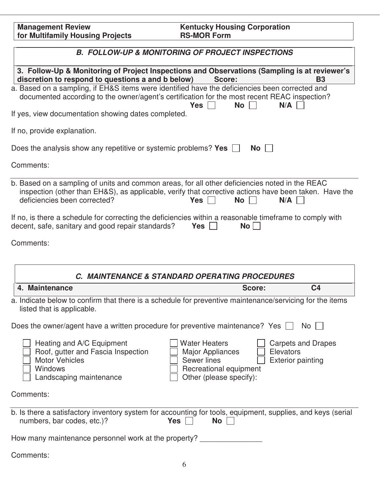| <b>Management Review</b>         | <b>Kentucky Housing Corporation</b> |
|----------------------------------|-------------------------------------|
| for Multifamily Housing Projects | <b>RS-MOR Form</b>                  |

| <b>B. FOLLOW-UP &amp; MONITORING OF PROJECT INSPECTIONS</b>                                                                                                                                                                                                |                                                                                                                         |  |
|------------------------------------------------------------------------------------------------------------------------------------------------------------------------------------------------------------------------------------------------------------|-------------------------------------------------------------------------------------------------------------------------|--|
| 3. Follow-Up & Monitoring of Project Inspections and Observations (Sampling is at reviewer's<br>discretion to respond to questions a and b below)                                                                                                          | Score:<br><b>B3</b>                                                                                                     |  |
| a. Based on a sampling, if EH&S items were identified have the deficiencies been corrected and<br>documented according to the owner/agent's certification for the most recent REAC inspection?<br>Yes                                                      | <b>No</b><br>N/A                                                                                                        |  |
| If yes, view documentation showing dates completed.                                                                                                                                                                                                        |                                                                                                                         |  |
| If no, provide explanation.                                                                                                                                                                                                                                |                                                                                                                         |  |
| Does the analysis show any repetitive or systemic problems? Yes $\Box$                                                                                                                                                                                     | $No$ $ $                                                                                                                |  |
| Comments:                                                                                                                                                                                                                                                  |                                                                                                                         |  |
| b. Based on a sampling of units and common areas, for all other deficiencies noted in the REAC<br>inspection (other than EH&S), as applicable, verify that corrective actions have been taken. Have the<br>deficiencies been corrected?<br>$Yes \mid \mid$ | No<br>N/A                                                                                                               |  |
| If no, is there a schedule for correcting the deficiencies within a reasonable timeframe to comply with<br>decent, safe, sanitary and good repair standards?<br><b>Yes</b>                                                                                 | No <sub>1</sub>                                                                                                         |  |
| Comments:                                                                                                                                                                                                                                                  |                                                                                                                         |  |
| C. MAINTENANCE & STANDARD OPERATING PROCEDURES                                                                                                                                                                                                             |                                                                                                                         |  |
| 4. Maintenance                                                                                                                                                                                                                                             | Score:<br>C <sub>4</sub>                                                                                                |  |
| a. Indicate below to confirm that there is a schedule for preventive maintenance/servicing for the items<br>listed that is applicable.                                                                                                                     |                                                                                                                         |  |
| Does the owner/agent have a written procedure for preventive maintenance? Yes $\Box$ No $\Box$                                                                                                                                                             |                                                                                                                         |  |
| Heating and A/C Equipment<br><b>Water Heaters</b><br>Roof, gutter and Fascia Inspection<br><b>Major Appliances</b><br><b>Motor Vehicles</b><br><b>Sewer lines</b><br>Windows<br>Landscaping maintenance                                                    | <b>Carpets and Drapes</b><br>Elevators<br><b>Exterior painting</b><br>Recreational equipment<br>Other (please specify): |  |
| Comments:                                                                                                                                                                                                                                                  |                                                                                                                         |  |
| b. Is there a satisfactory inventory system for accounting for tools, equipment, supplies, and keys (serial<br>numbers, bar codes, etc.)?<br>Yes                                                                                                           | No                                                                                                                      |  |
| How many maintenance personnel work at the property?                                                                                                                                                                                                       |                                                                                                                         |  |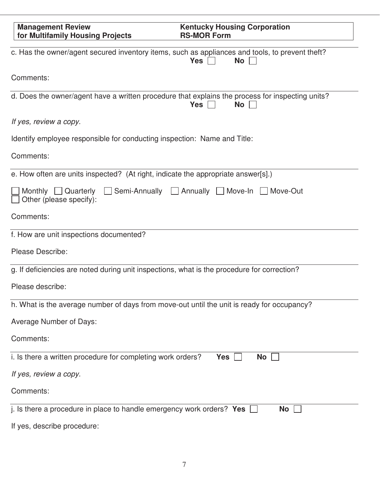| <b>Management Review</b><br>for Multifamily Housing Projects                                     | <b>Kentucky Housing Corporation</b><br><b>RS-MOR Form</b>              |
|--------------------------------------------------------------------------------------------------|------------------------------------------------------------------------|
| c. Has the owner/agent secured inventory items, such as appliances and tools, to prevent theft?  | <b>Yes</b><br><b>No</b>                                                |
| Comments:                                                                                        |                                                                        |
| d. Does the owner/agent have a written procedure that explains the process for inspecting units? | <b>Yes</b><br><b>No</b>                                                |
| If yes, review a copy.                                                                           |                                                                        |
| Identify employee responsible for conducting inspection: Name and Title:                         |                                                                        |
| Comments:                                                                                        |                                                                        |
| e. How often are units inspected? (At right, indicate the appropriate answer[s].)                |                                                                        |
| Monthly $\Box$ Quarterly<br>Other (please specify):                                              | $\Box$ Semi-Annually $\Box$ Annually $\Box$ Move-In $\Box$<br>Move-Out |
| Comments:                                                                                        |                                                                        |
| f. How are unit inspections documented?                                                          |                                                                        |
| Please Describe:                                                                                 |                                                                        |
| g. If deficiencies are noted during unit inspections, what is the procedure for correction?      |                                                                        |
| Please describe:                                                                                 |                                                                        |
| h. What is the average number of days from move-out until the unit is ready for occupancy?       |                                                                        |
| Average Number of Days:                                                                          |                                                                        |
| Comments:                                                                                        |                                                                        |
| i. Is there a written procedure for completing work orders?                                      | <b>Yes</b><br><b>No</b>                                                |
| If yes, review a copy.                                                                           |                                                                        |
| Comments:                                                                                        |                                                                        |
| j. Is there a procedure in place to handle emergency work orders? Yes                            | No                                                                     |
| If yes, describe procedure:                                                                      |                                                                        |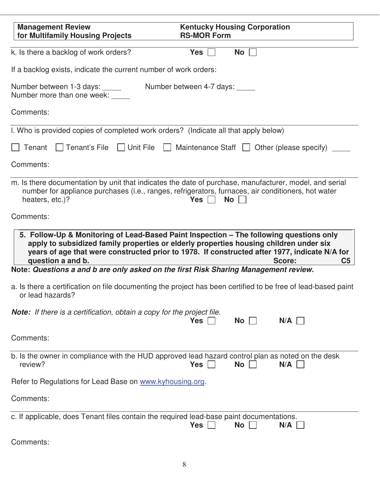| <b>Management Review</b><br>for Multifamily Housing Projects                                                 | <b>Kentucky Housing Corporation</b><br><b>RS-MOR Form</b>                                                                                                                                                                                                                                                      |
|--------------------------------------------------------------------------------------------------------------|----------------------------------------------------------------------------------------------------------------------------------------------------------------------------------------------------------------------------------------------------------------------------------------------------------------|
| k. Is there a backlog of work orders?                                                                        | No<br>Yes $ $                                                                                                                                                                                                                                                                                                  |
| If a backlog exists, indicate the current number of work orders:                                             |                                                                                                                                                                                                                                                                                                                |
| Number between 1-3 days: _____<br>Number more than one week: _____                                           | Number between 4-7 days: _____                                                                                                                                                                                                                                                                                 |
| Comments:                                                                                                    |                                                                                                                                                                                                                                                                                                                |
| I. Who is provided copies of completed work orders? (Indicate all that apply below)                          |                                                                                                                                                                                                                                                                                                                |
| Tenant                                                                                                       | $\Box$ Tenant's File $\Box$ Unit File $\Box$ Maintenance Staff $\Box$ Other (please specify)                                                                                                                                                                                                                   |
| Comments:                                                                                                    |                                                                                                                                                                                                                                                                                                                |
| heaters, etc.)?                                                                                              | m. Is there documentation by unit that indicates the date of purchase, manufacturer, model, and serial<br>number for appliance purchases (i.e., ranges, refrigerators, furnaces, air conditioners, hot water<br>No  <br>Yes $\vert \ \vert$                                                                    |
| Comments:                                                                                                    |                                                                                                                                                                                                                                                                                                                |
| question a and b.                                                                                            | 5. Follow-Up & Monitoring of Lead-Based Paint Inspection - The following questions only<br>apply to subsidized family properties or elderly properties housing children under six<br>years of age that were constructed prior to 1978. If constructed after 1977, indicate N/A for<br>Score:<br>C <sub>5</sub> |
| Note: Questions a and b are only asked on the first Risk Sharing Management review.                          |                                                                                                                                                                                                                                                                                                                |
| or lead hazards?                                                                                             | a. Is there a certification on file documenting the project has been certified to be free of lead-based paint                                                                                                                                                                                                  |
| <b>Note:</b> If there is a certification, obtain a copy for the project file.                                | <b>No</b><br>N/A<br>Yes                                                                                                                                                                                                                                                                                        |
| Comments:                                                                                                    |                                                                                                                                                                                                                                                                                                                |
| b. Is the owner in compliance with the HUD approved lead hazard control plan as noted on the desk<br>review? | <b>Yes</b><br><b>No</b><br>N/A                                                                                                                                                                                                                                                                                 |
| Refer to Regulations for Lead Base on www.kyhousing.org.                                                     |                                                                                                                                                                                                                                                                                                                |
| Comments:                                                                                                    |                                                                                                                                                                                                                                                                                                                |
| c. If applicable, does Tenant files contain the required lead-base paint documentations.                     | N/A<br>Yes<br><b>No</b>                                                                                                                                                                                                                                                                                        |
| Comments:                                                                                                    |                                                                                                                                                                                                                                                                                                                |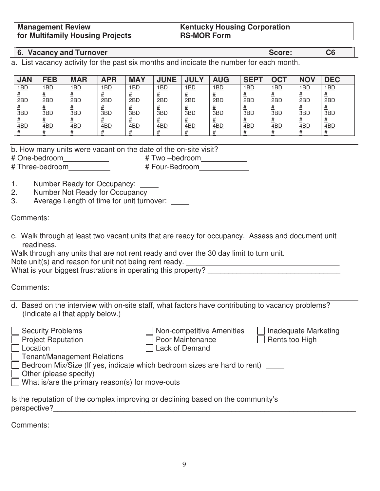#### **Management Review for Multifamily Housing Projects**

#### **Kentucky Housing Corporation RS-MOR Form**

## **6. Vacancy and Turnover C6 <b>Score: C6 C6**

a. List vacancy activity for the past six months and indicate the number for each month.

| <b>JAN</b> | <b>FEB</b>  | <b>MAR</b>  | <b>APR</b> | <b>MAY</b> | <b>JUNE</b> | <b>JULY</b>     | <b>AUG</b>      | SEP <sub>T</sub> | OC <sub>1</sub> | <b>NOV</b>      | <b>DEC</b> |
|------------|-------------|-------------|------------|------------|-------------|-----------------|-----------------|------------------|-----------------|-----------------|------------|
| <u>1BD</u> | <u> 1BD</u> | <u> 1BD</u> | <u>1BD</u> | <u>1BD</u> | <u>1BD</u>  | <u> 1BD</u>     | <u> 1BD</u>     | <u>1BD</u>       | <u>1BD</u>      | 1 <sub>BD</sub> | 1BD        |
|            |             |             |            |            |             |                 |                 |                  |                 |                 |            |
| 2BD        | 2BD         | 2BD         | 2BD        | 2BD        | 2BD         | 2BD             | 2BD             | <u>2BD</u>       | 2BD             | 2BD             | 2BD        |
| 3BD        | 3BD         | 3BD         | 3BD        | 3BD        | 3BD         | <u>#</u><br>3BD | <u>#</u><br>3BD | 3BD              | 3 <sub>BD</sub> | 3BD             | 3BD        |
|            |             |             |            |            |             |                 |                 |                  |                 |                 |            |
| 4BD        | 4BD         | 4BD         | 4BD        | <u>4BD</u> | <u>4BD</u>  | 4BD             | 4BD             | <u>4BD</u>       | 4BD             | 4BD             | 4BD        |
|            |             |             |            |            |             |                 |                 |                  |                 |                 |            |

| b. How many units were vacant on the date of the on-site visit? |                |  |  |
|-----------------------------------------------------------------|----------------|--|--|
| # One-bedroom<br># Two -bedroom                                 |                |  |  |
| # Three-bedroom                                                 | # Four-Bedroom |  |  |

- 1. Number Ready for Occupancy:
- 2. Number Not Ready for Occupancy \_\_\_\_\_
- 3. Average Length of time for unit turnover:

## Comments:

- c. Walk through at least two vacant units that are ready for occupancy. Assess and document unit readiness.
- Walk through any units that are not rent ready and over the 30 day limit to turn unit. Note unit(s) and reason for unit not being rent ready. \_\_\_\_\_\_\_\_\_\_\_\_\_\_\_\_\_\_\_\_\_\_\_\_\_\_\_\_\_\_\_\_\_\_\_\_\_

What is your biggest frustrations in operating this property?

Comments:

d. Based on the interview with on-site staff, what factors have contributing to vacancy problems? (Indicate all that apply below.)

| <b>Security Problems</b><br><b>Project Reputation</b>                                            | Non-competitive Amenities<br>Poor Maintenance | Inadequate Marketing<br>Rents too High |  |  |  |
|--------------------------------------------------------------------------------------------------|-----------------------------------------------|----------------------------------------|--|--|--|
| Location                                                                                         | <b>Lack of Demand</b>                         |                                        |  |  |  |
| Tenant/Management Relations                                                                      |                                               |                                        |  |  |  |
| Bedroom Mix/Size (If yes, indicate which bedroom sizes are hard to rent)                         |                                               |                                        |  |  |  |
| Other (please specify)                                                                           |                                               |                                        |  |  |  |
| What is/are the primary reason(s) for move-outs                                                  |                                               |                                        |  |  |  |
|                                                                                                  |                                               |                                        |  |  |  |
| Is the reputation of the complex improving or declining based on the community's<br>perspective? |                                               |                                        |  |  |  |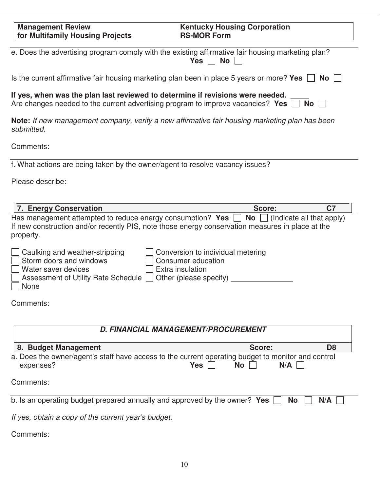| <b>Management Review</b><br>for Multifamily Housing Projects                                                                                                      | <b>Kentucky Housing Corporation</b><br><b>RS-MOR Form</b>                                                                                                                                                 |
|-------------------------------------------------------------------------------------------------------------------------------------------------------------------|-----------------------------------------------------------------------------------------------------------------------------------------------------------------------------------------------------------|
|                                                                                                                                                                   | e. Does the advertising program comply with the existing affirmative fair housing marketing plan?<br><b>No</b><br>Yes $ $                                                                                 |
| Is the current affirmative fair housing marketing plan been in place 5 years or more? Yes                                                                         | <b>No</b>                                                                                                                                                                                                 |
| If yes, when was the plan last reviewed to determine if revisions were needed.<br>Are changes needed to the current advertising program to improve vacancies? Yes | <b>No</b>                                                                                                                                                                                                 |
| submitted.                                                                                                                                                        | Note: If new management company, verify a new affirmative fair housing marketing plan has been                                                                                                            |
| Comments:                                                                                                                                                         |                                                                                                                                                                                                           |
| f. What actions are being taken by the owner/agent to resolve vacancy issues?                                                                                     |                                                                                                                                                                                                           |
| Please describe:                                                                                                                                                  |                                                                                                                                                                                                           |
| 7. Energy Conservation                                                                                                                                            | Score:<br>C <sub>7</sub>                                                                                                                                                                                  |
| property.                                                                                                                                                         | Has management attempted to reduce energy consumption? Yes $\Box$ No $\Box$ (Indicate all that apply)<br>If new construction and/or recently PIS, note those energy conservation measures in place at the |
| Caulking and weather-stripping<br>Storm doors and windows<br>Water saver devices<br>Assessment of Utility Rate Schedule<br>None                                   | Conversion to individual metering<br>Consumer education<br>Extra insulation<br>Other (please specify)                                                                                                     |
| Comments:                                                                                                                                                         |                                                                                                                                                                                                           |

| D. FINANCIAL MANAGEMENT/PROCUREMENT                                                                                                     |        |                |  |  |
|-----------------------------------------------------------------------------------------------------------------------------------------|--------|----------------|--|--|
| 8. Budget Management                                                                                                                    | Score: | D <sub>8</sub> |  |  |
| a. Does the owner/agent's staff have access to the current operating budget to monitor and control<br>No<br>expenses?<br>Yes  <br>$N/A$ |        |                |  |  |
| Comments:                                                                                                                               |        |                |  |  |
| b. Is an operating budget prepared annually and approved by the owner? Yes $\Box$ No $\Box$<br>$N/A$                                    |        |                |  |  |
| If yoo obtain a copy of the current year's budget                                                                                       |        |                |  |  |

If yes, obtain a copy of the current year's budget.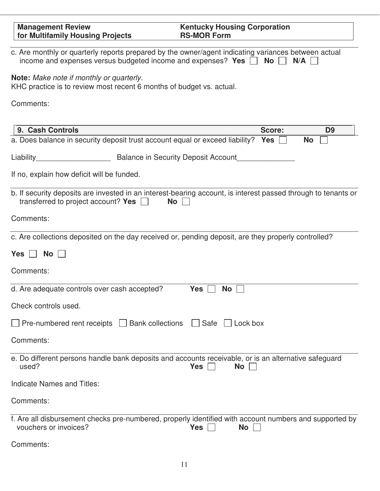| <b>Management Review</b><br>for Multifamily Housing Projects                                                                                                               | <b>Kentucky Housing Corporation</b><br><b>RS-MOR Form</b>                                                                         |
|----------------------------------------------------------------------------------------------------------------------------------------------------------------------------|-----------------------------------------------------------------------------------------------------------------------------------|
| c. Are monthly or quarterly reports prepared by the owner/agent indicating variances between actual<br>income and expenses versus budgeted income and expenses? Yes $\Box$ | No<br>N/A                                                                                                                         |
| Note: Make note if monthly or quarterly.<br>KHC practice is to review most recent 6 months of budget vs. actual.                                                           |                                                                                                                                   |
| Comments:                                                                                                                                                                  |                                                                                                                                   |
|                                                                                                                                                                            |                                                                                                                                   |
| 9. Cash Controls<br>a. Does balance in security deposit trust account equal or exceed liability?                                                                           | Score:<br>D <sub>9</sub><br>Yes<br><b>No</b>                                                                                      |
|                                                                                                                                                                            |                                                                                                                                   |
| Liability <b>Example 2 Balance in Security Deposit Account</b>                                                                                                             |                                                                                                                                   |
| If no, explain how deficit will be funded.                                                                                                                                 |                                                                                                                                   |
| transferred to project account? Yes $\vert$<br><b>No</b>                                                                                                                   | b. If security deposits are invested in an interest-bearing account, is interest passed through to tenants or                     |
| Comments:                                                                                                                                                                  |                                                                                                                                   |
| c. Are collections deposited on the day received or, pending deposit, are they properly controlled?                                                                        |                                                                                                                                   |
| Yes<br><b>No</b>                                                                                                                                                           |                                                                                                                                   |
| Comments:                                                                                                                                                                  |                                                                                                                                   |
| d. Are adequate controls over cash accepted?                                                                                                                               | Yes<br><b>No</b>                                                                                                                  |
| Check controls used.                                                                                                                                                       |                                                                                                                                   |
| Pre-numbered rent receipts   Bank collections                                                                                                                              | Safe<br>$\vert$ $\vert$ Lock box                                                                                                  |
| Comments:                                                                                                                                                                  |                                                                                                                                   |
| e. Do different persons handle bank deposits and accounts receivable, or is an alternative safeguard<br>used?                                                              | Yes<br><b>No</b>                                                                                                                  |
| Indicate Names and Titles:                                                                                                                                                 |                                                                                                                                   |
| Comments:                                                                                                                                                                  |                                                                                                                                   |
| vouchers or invoices?                                                                                                                                                      | f. Are all disbursement checks pre-numbered, properly identified with account numbers and supported by<br><b>Yes</b><br><b>No</b> |
| Comments:                                                                                                                                                                  |                                                                                                                                   |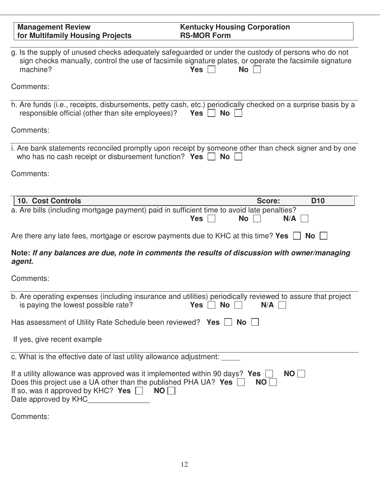| <b>Management Review</b>                                                                                                                                                                                                                                    | <b>Kentucky Housing Corporation</b>                                                                                                |
|-------------------------------------------------------------------------------------------------------------------------------------------------------------------------------------------------------------------------------------------------------------|------------------------------------------------------------------------------------------------------------------------------------|
| for Multifamily Housing Projects                                                                                                                                                                                                                            | <b>RS-MOR Form</b>                                                                                                                 |
| g. Is the supply of unused checks adequately safeguarded or under the custody of persons who do not<br>machine?                                                                                                                                             | sign checks manually, control the use of facsimile signature plates, or operate the facsimile signature<br><b>Yes</b><br><b>No</b> |
| Comments:                                                                                                                                                                                                                                                   |                                                                                                                                    |
| h. Are funds (i.e., receipts, disbursements, petty cash, etc.) periodically checked on a surprise basis by a<br>responsible official (other than site employees)?                                                                                           | <b>No</b><br>Yes                                                                                                                   |
| Comments:                                                                                                                                                                                                                                                   |                                                                                                                                    |
| i. Are bank statements reconciled promptly upon receipt by someone other than check signer and by one<br>who has no cash receipt or disbursement function? Yes $\Box$                                                                                       | <b>No</b>                                                                                                                          |
| Comments:                                                                                                                                                                                                                                                   |                                                                                                                                    |
| <b>10. Cost Controls</b>                                                                                                                                                                                                                                    | D <sub>10</sub><br>Score:                                                                                                          |
| a. Are bills (including mortgage payment) paid in sufficient time to avoid late penalties?                                                                                                                                                                  | N/A<br><b>Yes</b><br><b>No</b>                                                                                                     |
| Are there any late fees, mortgage or escrow payments due to KHC at this time? Yes $\Box$ No                                                                                                                                                                 |                                                                                                                                    |
| Note: If any balances are due, note in comments the results of discussion with owner/managing<br>agent.                                                                                                                                                     |                                                                                                                                    |
| Comments:                                                                                                                                                                                                                                                   |                                                                                                                                    |
| b. Are operating expenses (including insurance and utilities) periodically reviewed to assure that project<br>is paying the lowest possible rate?                                                                                                           | <b>No</b><br>N/A<br>Yes                                                                                                            |
| Has assessment of Utility Rate Schedule been reviewed? Yes $\Box$ No $\Box$                                                                                                                                                                                 |                                                                                                                                    |
| If yes, give recent example                                                                                                                                                                                                                                 |                                                                                                                                    |
| c. What is the effective date of last utility allowance adjustment:                                                                                                                                                                                         |                                                                                                                                    |
| If a utility allowance was approved was it implemented within 90 days? Yes $\Box$<br>Does this project use a UA other than the published PHA UA? Yes $\Box$<br>If so, was it approved by KHC? Yes $\Box$ NO $\Box$<br>Date approved by KHC_________________ | NO<br>NO                                                                                                                           |
| Comments:                                                                                                                                                                                                                                                   |                                                                                                                                    |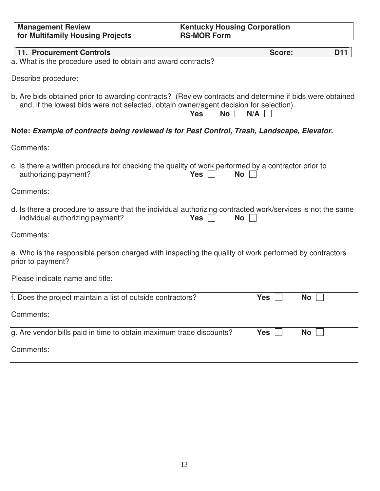| <b>Management Review</b><br>for Multifamily Housing Projects                                                                | <b>Kentucky Housing Corporation</b><br><b>RS-MOR Form</b>                                                                                            |
|-----------------------------------------------------------------------------------------------------------------------------|------------------------------------------------------------------------------------------------------------------------------------------------------|
| <b>11. Procurement Controls</b>                                                                                             | <b>D11</b><br>Score:                                                                                                                                 |
| a. What is the procedure used to obtain and award contracts?                                                                |                                                                                                                                                      |
| Describe procedure:                                                                                                         |                                                                                                                                                      |
| and, if the lowest bids were not selected, obtain owner/agent decision for selection).                                      | b. Are bids obtained prior to awarding contracts? (Review contracts and determine if bids were obtained<br>Yes $\vert \ \vert$<br>$No \mid N/A \mid$ |
| Note: Example of contracts being reviewed is for Pest Control, Trash, Landscape, Elevator.                                  |                                                                                                                                                      |
| Comments:                                                                                                                   |                                                                                                                                                      |
| c. Is there a written procedure for checking the quality of work performed by a contractor prior to<br>authorizing payment? | $Yes$    <br>No                                                                                                                                      |
| Comments:                                                                                                                   |                                                                                                                                                      |
| individual authorizing payment?                                                                                             | d. Is there a procedure to assure that the individual authorizing contracted work/services is not the same<br>$Yes$    <br><b>No</b>                 |
| Comments:                                                                                                                   |                                                                                                                                                      |
| prior to payment?                                                                                                           | e. Who is the responsible person charged with inspecting the quality of work performed by contractors                                                |
| Please indicate name and title:                                                                                             |                                                                                                                                                      |
| f. Does the project maintain a list of outside contractors?                                                                 | Yes $\Box$<br>$\mathsf{No} \;   \;$                                                                                                                  |
| Comments:                                                                                                                   |                                                                                                                                                      |
| g. Are vendor bills paid in time to obtain maximum trade discounts?                                                         | <b>Yes</b><br>$\mathsf{No} \;   \;$                                                                                                                  |
| Comments:                                                                                                                   |                                                                                                                                                      |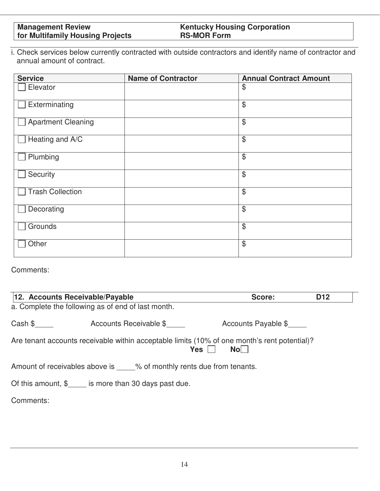# **Kentucky Housing Corporation RS-MOR Form**

i. Check services below currently contracted with outside contractors and identify name of contractor and annual amount of contract.

| <b>Service</b>            | <b>Name of Contractor</b> | <b>Annual Contract Amount</b> |
|---------------------------|---------------------------|-------------------------------|
| Elevator                  |                           | \$                            |
| Exterminating             |                           | \$                            |
| <b>Apartment Cleaning</b> |                           | \$                            |
| Heating and A/C           |                           | $\frac{1}{2}$                 |
| Plumbing                  |                           | \$                            |
| Security                  |                           | $\$\$                         |
| <b>Trash Collection</b>   |                           | \$                            |
| Decorating                |                           | $\frac{1}{2}$                 |
| Grounds                   |                           | \$                            |
| Other                     |                           | $\$\$                         |

| 12. Accounts Receivable/Payable                                                                                     |                        | Score:              | D <sub>12</sub> |  |  |
|---------------------------------------------------------------------------------------------------------------------|------------------------|---------------------|-----------------|--|--|
| a. Complete the following as of end of last month.                                                                  |                        |                     |                 |  |  |
| Cash \$                                                                                                             | Accounts Receivable \$ | Accounts Payable \$ |                 |  |  |
| Are tenant accounts receivable within acceptable limits (10% of one month's rent potential)?<br>Nol I<br><b>Yes</b> |                        |                     |                 |  |  |
| Amount of receivables above is _____% of monthly rents due from tenants.                                            |                        |                     |                 |  |  |
| Of this amount, $\frac{1}{2}$ is more than 30 days past due.                                                        |                        |                     |                 |  |  |
| Comments:                                                                                                           |                        |                     |                 |  |  |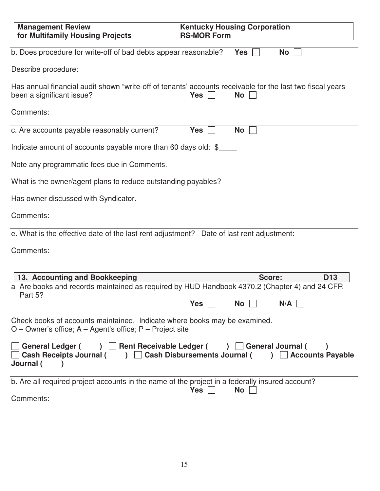| <b>Management Review</b><br>for Multifamily Housing Projects                                                                              | <b>Kentucky Housing Corporation</b><br><b>RS-MOR Form</b>                                                                                       |
|-------------------------------------------------------------------------------------------------------------------------------------------|-------------------------------------------------------------------------------------------------------------------------------------------------|
| b. Does procedure for write-off of bad debts appear reasonable?                                                                           | <b>No</b><br>Yes                                                                                                                                |
| Describe procedure:                                                                                                                       |                                                                                                                                                 |
| been a significant issue?                                                                                                                 | Has annual financial audit shown "write-off of tenants' accounts receivable for the last two fiscal years<br>$Yes \mid \mid$<br>No <sub>1</sub> |
| Comments:                                                                                                                                 |                                                                                                                                                 |
| c. Are accounts payable reasonably current?                                                                                               | <b>Yes</b><br><b>No</b>                                                                                                                         |
| Indicate amount of accounts payable more than 60 days old: $\frac{1}{2}$                                                                  |                                                                                                                                                 |
| Note any programmatic fees due in Comments.                                                                                               |                                                                                                                                                 |
| What is the owner/agent plans to reduce outstanding payables?                                                                             |                                                                                                                                                 |
| Has owner discussed with Syndicator.                                                                                                      |                                                                                                                                                 |
| Comments:                                                                                                                                 |                                                                                                                                                 |
| e. What is the effective date of the last rent adjustment? Date of last rent adjustment: ____                                             |                                                                                                                                                 |
| Comments:                                                                                                                                 |                                                                                                                                                 |
| 13. Accounting and Bookkeeping<br>a Are books and records maintained as required by HUD Handbook 4370.2 (Chapter 4) and 24 CFR<br>Part 5? | Score:<br>D <sub>13</sub><br>N/A<br>Yes<br><b>No</b>                                                                                            |
| Check books of accounts maintained. Indicate where books may be examined.<br>$O$ – Owner's office; A – Agent's office; P – Project site   |                                                                                                                                                 |
| ) Bent Receivable Ledger (<br><b>General Ledger (</b><br><b>Cash Receipts Journal (</b><br>$\mathcal{L}$<br>Journal (                     | General Journal (<br>$\lambda$<br>□ Cash Disbursements Journal (<br><b>Accounts Payable</b>                                                     |
| b. Are all required project accounts in the name of the project in a federally insured account?                                           | $Yes \mid \mid$<br><b>No</b>                                                                                                                    |
| Comments:                                                                                                                                 |                                                                                                                                                 |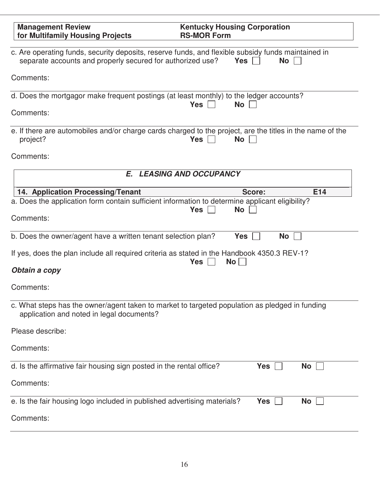| <b>Management Review</b><br>for Multifamily Housing Projects                                                                                                     | <b>Kentucky Housing Corporation</b><br><b>RS-MOR Form</b>                                                                            |
|------------------------------------------------------------------------------------------------------------------------------------------------------------------|--------------------------------------------------------------------------------------------------------------------------------------|
| c. Are operating funds, security deposits, reserve funds, and flexible subsidy funds maintained in<br>separate accounts and properly secured for authorized use? | <b>Yes</b><br><b>No</b>                                                                                                              |
| Comments:                                                                                                                                                        |                                                                                                                                      |
| d. Does the mortgagor make frequent postings (at least monthly) to the ledger accounts?<br>Comments:                                                             | <b>Yes</b><br><b>No</b>                                                                                                              |
| project?                                                                                                                                                         | e. If there are automobiles and/or charge cards charged to the project, are the titles in the name of the<br><b>Yes</b><br><b>No</b> |
| Comments:                                                                                                                                                        |                                                                                                                                      |
|                                                                                                                                                                  | E. LEASING AND OCCUPANCY                                                                                                             |
| 14. Application Processing/Tenant                                                                                                                                | E14<br>Score:                                                                                                                        |
| a. Does the application form contain sufficient information to determine applicant eligibility?                                                                  |                                                                                                                                      |
| Comments:                                                                                                                                                        | <b>No</b><br><b>Yes</b>                                                                                                              |
| b. Does the owner/agent have a written tenant selection plan?                                                                                                    | <b>Yes</b><br><b>No</b>                                                                                                              |
| If yes, does the plan include all required criteria as stated in the Handbook 4350.3 REV-1?                                                                      | <b>Yes</b><br>No                                                                                                                     |
| Obtain a copy                                                                                                                                                    |                                                                                                                                      |
| Comments:                                                                                                                                                        |                                                                                                                                      |
| c. What steps has the owner/agent taken to market to targeted population as pledged in funding<br>application and noted in legal documents?                      |                                                                                                                                      |
| Please describe:                                                                                                                                                 |                                                                                                                                      |
| Comments:                                                                                                                                                        |                                                                                                                                      |
| d. Is the affirmative fair housing sign posted in the rental office?                                                                                             | <b>Yes</b><br><b>No</b>                                                                                                              |
| Comments:                                                                                                                                                        |                                                                                                                                      |
| e. Is the fair housing logo included in published advertising materials?                                                                                         | <b>Yes</b><br><b>No</b>                                                                                                              |
| Comments:                                                                                                                                                        |                                                                                                                                      |
|                                                                                                                                                                  |                                                                                                                                      |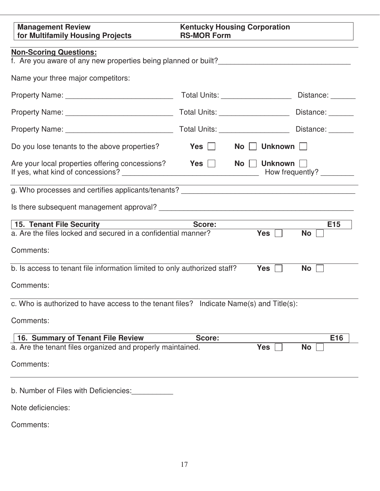| <b>Management Review</b><br>for Multifamily Housing Projects                            | <b>Kentucky Housing Corporation</b><br><b>RS-MOR Form</b><br><u> 1989 - Johann Stone, mars et al. (</u>                |                           |
|-----------------------------------------------------------------------------------------|------------------------------------------------------------------------------------------------------------------------|---------------------------|
| <b>Non-Scoring Questions:</b>                                                           |                                                                                                                        |                           |
| Name your three major competitors:                                                      |                                                                                                                        |                           |
|                                                                                         | Total Units: ____________________                                                                                      | Distance: ______          |
| Property Name: __________________________________                                       |                                                                                                                        |                           |
|                                                                                         |                                                                                                                        | Distance:                 |
| Do you lose tenants to the above properties?                                            | Yes II<br>No Unknown                                                                                                   |                           |
| Are your local properties offering concessions?                                         | $Yes$ $\Box$<br>No     Unknown                                                                                         | How frequently? _________ |
|                                                                                         | <u> 1989 - Johann Stoff, deutscher Stoffen und der Stoffen und der Stoffen und der Stoffen und der Stoffen und der</u> |                           |
|                                                                                         |                                                                                                                        |                           |
| 15. Tenant File Security                                                                | Score:                                                                                                                 | E <sub>15</sub>           |
| a. Are the files locked and secured in a confidential manner?                           | Yes $\Box$                                                                                                             | <b>No</b>                 |
| Comments:                                                                               |                                                                                                                        |                           |
| b. Is access to tenant file information limited to only authorized staff?               | Yes $\vert \ \vert$                                                                                                    | $No$                      |
| Comments:                                                                               |                                                                                                                        |                           |
| c. Who is authorized to have access to the tenant files? Indicate Name(s) and Title(s): |                                                                                                                        |                           |
| Comments:                                                                               |                                                                                                                        |                           |
| 16. Summary of Tenant File Review                                                       | Score:                                                                                                                 | E16                       |
| a. Are the tenant files organized and properly maintained.                              | <b>Yes</b>                                                                                                             | <b>No</b>                 |
| Comments:                                                                               |                                                                                                                        |                           |
| b. Number of Files with Deficiencies:                                                   |                                                                                                                        |                           |
| Note deficiencies:                                                                      |                                                                                                                        |                           |
| Comments:                                                                               |                                                                                                                        |                           |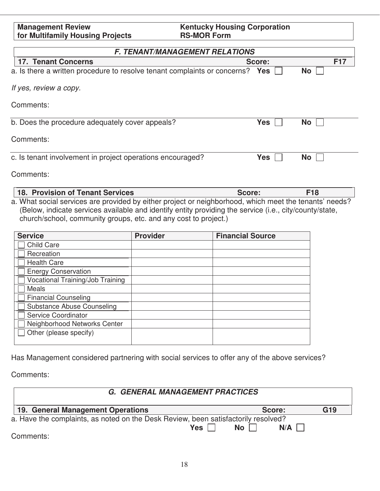| <b>Management Review</b>                | <b>Kentucky Housing Corporation</b> |
|-----------------------------------------|-------------------------------------|
| <b>for Multifamily Housing Projects</b> | <b>RS-MOR Form</b>                  |
|                                         |                                     |

| <b>F. TENANT/MANAGEMENT RELATIONS</b>                                     |            |            |  |  |
|---------------------------------------------------------------------------|------------|------------|--|--|
| <b>17. Tenant Concerns</b>                                                | Score:     | <b>F17</b> |  |  |
| a. Is there a written procedure to resolve tenant complaints or concerns? | Yes        | <b>No</b>  |  |  |
| If yes, review a copy.                                                    |            |            |  |  |
| Comments:                                                                 |            |            |  |  |
| b. Does the procedure adequately cover appeals?                           | <b>Yes</b> | <b>No</b>  |  |  |
| Comments:                                                                 |            |            |  |  |
| c. Is tenant involvement in project operations encouraged?                | <b>Yes</b> | <b>No</b>  |  |  |
| Comments:                                                                 |            |            |  |  |

**18. Provision of Tenant Services F18 Score: F18** a. What social services are provided by either project or neighborhood, which meet the tenants' needs? (Below, indicate services available and identify entity providing the service (i.e., city/county/state, church/school, community groups, etc. and any cost to project.)

| <b>Service</b>                   | <b>Provider</b> | <b>Financial Source</b> |
|----------------------------------|-----------------|-------------------------|
| <b>Child Care</b>                |                 |                         |
| Recreation                       |                 |                         |
| <b>Health Care</b>               |                 |                         |
| <b>Energy Conservation</b>       |                 |                         |
| Vocational Training/Job Training |                 |                         |
| <b>Meals</b>                     |                 |                         |
| <b>Financial Counseling</b>      |                 |                         |
| Substance Abuse Counseling       |                 |                         |
| Service Coordinator              |                 |                         |
| Neighborhood Networks Center     |                 |                         |
| Other (please specify)           |                 |                         |
|                                  |                 |                         |

Has Management considered partnering with social services to offer any of the above services?

| <b>G. GENERAL MANAGEMENT PRACTICES</b>                                             |                        |     |  |  |
|------------------------------------------------------------------------------------|------------------------|-----|--|--|
| 19. General Management Operations                                                  | Score:                 | G19 |  |  |
| a. Have the complaints, as noted on the Desk Review, been satisfactorily resolved? |                        |     |  |  |
| Yes $\lceil$                                                                       | No <sub>1</sub><br>N/A |     |  |  |
| Comments:                                                                          |                        |     |  |  |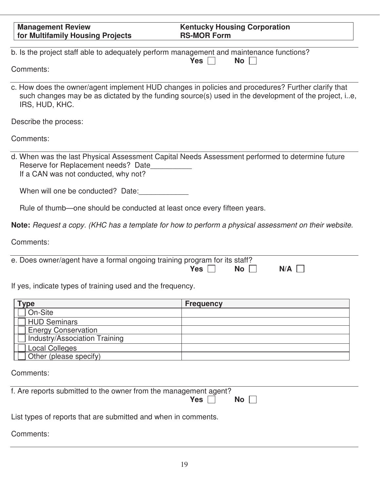| <b>Management Review</b><br>for Multifamily Housing Projects                                          | <b>Kentucky Housing Corporation</b><br><b>RS-MOR Form</b>                                                                                                                                                  |
|-------------------------------------------------------------------------------------------------------|------------------------------------------------------------------------------------------------------------------------------------------------------------------------------------------------------------|
| b. Is the project staff able to adequately perform management and maintenance functions?<br>Comments: | <b>Yes</b><br><b>No</b>                                                                                                                                                                                    |
| IRS, HUD, KHC.                                                                                        | c. How does the owner/agent implement HUD changes in policies and procedures? Further clarify that<br>such changes may be as dictated by the funding source(s) used in the development of the project, ie, |
| Describe the process:                                                                                 |                                                                                                                                                                                                            |
| Comments:                                                                                             |                                                                                                                                                                                                            |
| Reserve for Replacement needs? Date<br>If a CAN was not conducted, why not?                           | d. When was the last Physical Assessment Capital Needs Assessment performed to determine future                                                                                                            |
| When will one be conducted? Date:                                                                     |                                                                                                                                                                                                            |
| Rule of thumb-one should be conducted at least once every fifteen years.                              |                                                                                                                                                                                                            |
|                                                                                                       | Note: Request a copy. (KHC has a template for how to perform a physical assessment on their website.                                                                                                       |
| Comments:                                                                                             |                                                                                                                                                                                                            |
| e. Does owner/agent have a formal ongoing training program for its staff?                             | <b>Yes</b><br><b>No</b><br>N/A                                                                                                                                                                             |
| If yes, indicate types of training used and the frequency.                                            |                                                                                                                                                                                                            |
| Type                                                                                                  | <b>Frequency</b>                                                                                                                                                                                           |
| On-Site                                                                                               |                                                                                                                                                                                                            |
| <b>HUD Seminars</b>                                                                                   |                                                                                                                                                                                                            |
| <b>Energy Conservation</b>                                                                            |                                                                                                                                                                                                            |
| <b>Industry/Association Training</b>                                                                  |                                                                                                                                                                                                            |
| <b>Local Colleges</b>                                                                                 |                                                                                                                                                                                                            |
| Other (please specify)                                                                                |                                                                                                                                                                                                            |
| Comments:                                                                                             |                                                                                                                                                                                                            |
| f. Are reports submitted to the owner from the management agent?                                      | <b>Yes</b><br>No                                                                                                                                                                                           |
| List types of reports that are submitted and when in comments.                                        |                                                                                                                                                                                                            |
| Comments:                                                                                             |                                                                                                                                                                                                            |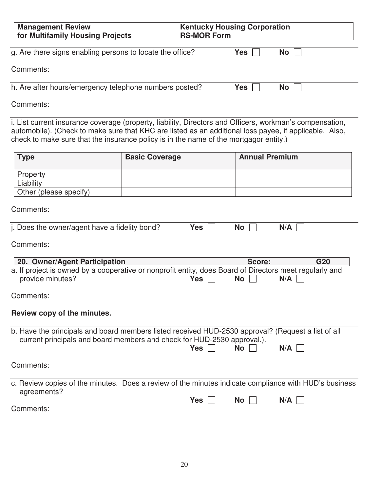| <b>Management Review</b><br>for Multifamily Housing Projects                                                                                                                                                                                                                                                |                       | <b>Kentucky Housing Corporation</b><br><b>RS-MOR Form</b> |                       |            |
|-------------------------------------------------------------------------------------------------------------------------------------------------------------------------------------------------------------------------------------------------------------------------------------------------------------|-----------------------|-----------------------------------------------------------|-----------------------|------------|
| g. Are there signs enabling persons to locate the office?                                                                                                                                                                                                                                                   |                       |                                                           | <b>Yes</b>            | <b>No</b>  |
| Comments:                                                                                                                                                                                                                                                                                                   |                       |                                                           |                       |            |
| h. Are after hours/emergency telephone numbers posted?                                                                                                                                                                                                                                                      |                       |                                                           | <b>Yes</b>            | <b>No</b>  |
| Comments:                                                                                                                                                                                                                                                                                                   |                       |                                                           |                       |            |
| i. List current insurance coverage (property, liability, Directors and Officers, workman's compensation,<br>automobile). (Check to make sure that KHC are listed as an additional loss payee, if applicable. Also,<br>check to make sure that the insurance policy is in the name of the mortgagor entity.) |                       |                                                           |                       |            |
| <b>Type</b>                                                                                                                                                                                                                                                                                                 | <b>Basic Coverage</b> |                                                           | <b>Annual Premium</b> |            |
| Property<br>Liability<br>Other (please specify)                                                                                                                                                                                                                                                             |                       |                                                           |                       |            |
| Comments:                                                                                                                                                                                                                                                                                                   |                       |                                                           |                       |            |
| j. Does the owner/agent have a fidelity bond?                                                                                                                                                                                                                                                               |                       | <b>Yes</b>                                                | <b>No</b>             | N/A        |
| Comments:                                                                                                                                                                                                                                                                                                   |                       |                                                           |                       |            |
| 20. Owner/Agent Participation<br>a. If project is owned by a cooperative or nonprofit entity, does Board of Directors meet regularly and<br>provide minutes?                                                                                                                                                |                       | <b>Yes</b>                                                | Score:<br><b>No</b>   | G20<br>N/A |
| Comments:                                                                                                                                                                                                                                                                                                   |                       |                                                           |                       |            |
| Review copy of the minutes.                                                                                                                                                                                                                                                                                 |                       |                                                           |                       |            |
| b. Have the principals and board members listed received HUD-2530 approval? (Request a list of all<br>current principals and board members and check for HUD-2530 approval.).                                                                                                                               |                       | Yes                                                       | <b>No</b>             | N/A        |
| Comments:                                                                                                                                                                                                                                                                                                   |                       |                                                           |                       |            |
| c. Review copies of the minutes. Does a review of the minutes indicate compliance with HUD's business<br>agreements?<br>Comments:                                                                                                                                                                           |                       | Yes                                                       | <b>No</b>             | N/A        |